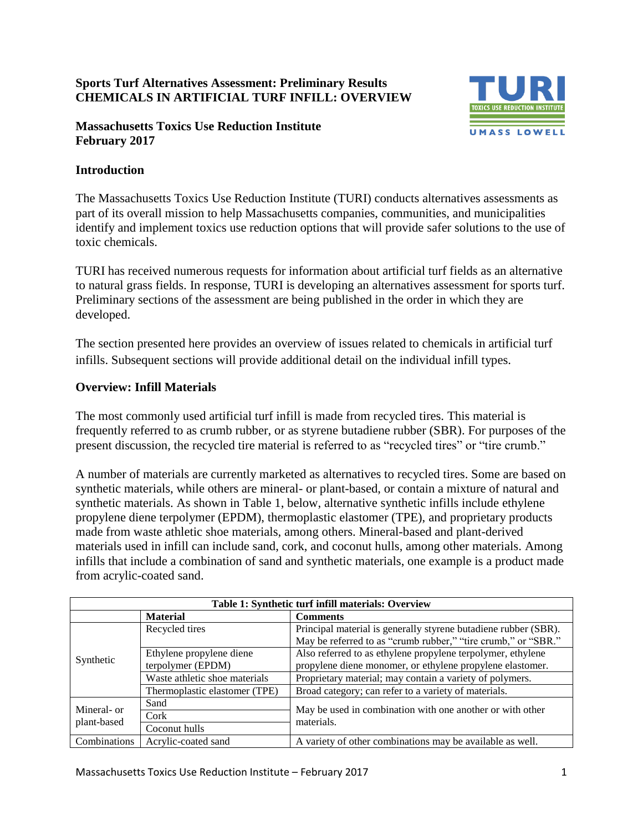# **Sports Turf Alternatives Assessment: Preliminary Results CHEMICALS IN ARTIFICIAL TURF INFILL: OVERVIEW**

### **Massachusetts Toxics Use Reduction Institute February 2017**



### **Introduction**

The Massachusetts Toxics Use Reduction Institute (TURI) conducts alternatives assessments as part of its overall mission to help Massachusetts companies, communities, and municipalities identify and implement toxics use reduction options that will provide safer solutions to the use of toxic chemicals.

TURI has received numerous requests for information about artificial turf fields as an alternative to natural grass fields. In response, TURI is developing an alternatives assessment for sports turf. Preliminary sections of the assessment are being published in the order in which they are developed.

The section presented here provides an overview of issues related to chemicals in artificial turf infills. Subsequent sections will provide additional detail on the individual infill types.

#### **Overview: Infill Materials**

The most commonly used artificial turf infill is made from recycled tires. This material is frequently referred to as crumb rubber, or as styrene butadiene rubber (SBR). For purposes of the present discussion, the recycled tire material is referred to as "recycled tires" or "tire crumb."

A number of materials are currently marketed as alternatives to recycled tires. Some are based on synthetic materials, while others are mineral- or plant-based, or contain a mixture of natural and synthetic materials. As shown in Table 1, below, alternative synthetic infills include ethylene propylene diene terpolymer (EPDM), thermoplastic elastomer (TPE), and proprietary products made from waste athletic shoe materials, among others. Mineral-based and plant-derived materials used in infill can include sand, cork, and coconut hulls, among other materials. Among infills that include a combination of sand and synthetic materials, one example is a product made from acrylic-coated sand.

| Table 1: Synthetic turf infill materials: Overview |                               |                                                                         |  |  |
|----------------------------------------------------|-------------------------------|-------------------------------------------------------------------------|--|--|
|                                                    | <b>Material</b>               | <b>Comments</b>                                                         |  |  |
| Synthetic                                          | Recycled tires                | Principal material is generally styrene butadiene rubber (SBR).         |  |  |
|                                                    |                               | May be referred to as "crumb rubber," "tire crumb," or "SBR."           |  |  |
|                                                    | Ethylene propylene diene      | Also referred to as ethylene propylene terpolymer, ethylene             |  |  |
|                                                    | terpolymer (EPDM)             | propylene diene monomer, or ethylene propylene elastomer.               |  |  |
|                                                    | Waste athletic shoe materials | Proprietary material; may contain a variety of polymers.                |  |  |
|                                                    | Thermoplastic elastomer (TPE) | Broad category; can refer to a variety of materials.                    |  |  |
| Mineral- or<br>plant-based                         | Sand                          | May be used in combination with one another or with other<br>materials. |  |  |
|                                                    | Cork                          |                                                                         |  |  |
|                                                    | Coconut hulls                 |                                                                         |  |  |
| Combinations                                       | Acrylic-coated sand           | A variety of other combinations may be available as well.               |  |  |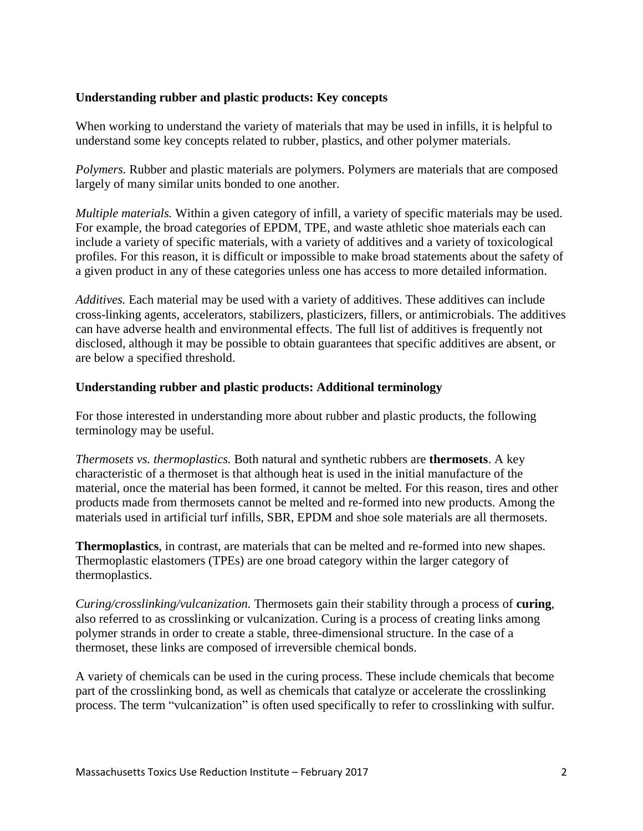### **Understanding rubber and plastic products: Key concepts**

When working to understand the variety of materials that may be used in infills, it is helpful to understand some key concepts related to rubber, plastics, and other polymer materials.

*Polymers.* Rubber and plastic materials are polymers. Polymers are materials that are composed largely of many similar units bonded to one another.

*Multiple materials.* Within a given category of infill, a variety of specific materials may be used. For example, the broad categories of EPDM, TPE, and waste athletic shoe materials each can include a variety of specific materials, with a variety of additives and a variety of toxicological profiles. For this reason, it is difficult or impossible to make broad statements about the safety of a given product in any of these categories unless one has access to more detailed information.

*Additives.* Each material may be used with a variety of additives. These additives can include cross-linking agents, accelerators, stabilizers, plasticizers, fillers, or antimicrobials. The additives can have adverse health and environmental effects. The full list of additives is frequently not disclosed, although it may be possible to obtain guarantees that specific additives are absent, or are below a specified threshold.

#### **Understanding rubber and plastic products: Additional terminology**

For those interested in understanding more about rubber and plastic products, the following terminology may be useful.

*Thermosets vs. thermoplastics.* Both natural and synthetic rubbers are **thermosets**. A key characteristic of a thermoset is that although heat is used in the initial manufacture of the material, once the material has been formed, it cannot be melted. For this reason, tires and other products made from thermosets cannot be melted and re-formed into new products. Among the materials used in artificial turf infills, SBR, EPDM and shoe sole materials are all thermosets.

**Thermoplastics**, in contrast, are materials that can be melted and re-formed into new shapes. Thermoplastic elastomers (TPEs) are one broad category within the larger category of thermoplastics.

*Curing/crosslinking/vulcanization.* Thermosets gain their stability through a process of **curing**, also referred to as crosslinking or vulcanization. Curing is a process of creating links among polymer strands in order to create a stable, three-dimensional structure. In the case of a thermoset, these links are composed of irreversible chemical bonds.

A variety of chemicals can be used in the curing process. These include chemicals that become part of the crosslinking bond, as well as chemicals that catalyze or accelerate the crosslinking process. The term "vulcanization" is often used specifically to refer to crosslinking with sulfur.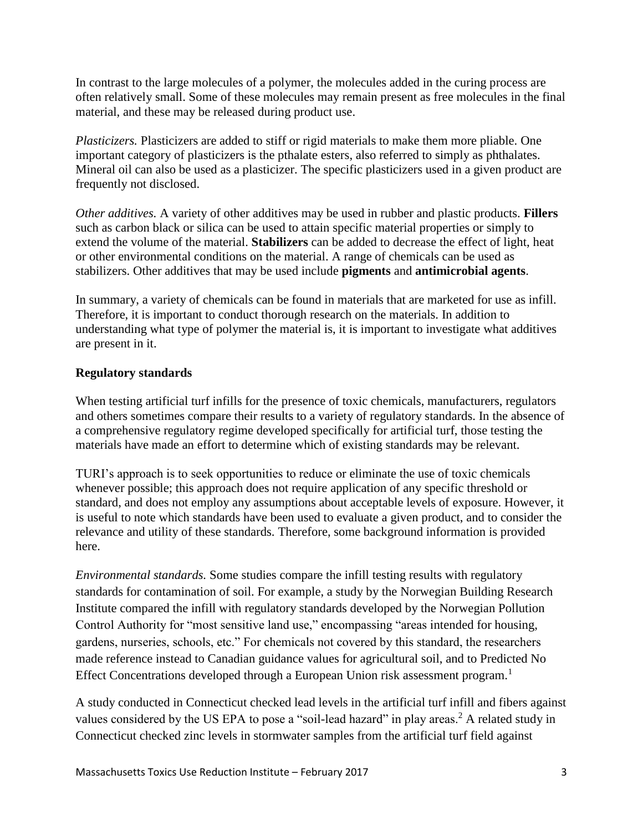In contrast to the large molecules of a polymer, the molecules added in the curing process are often relatively small. Some of these molecules may remain present as free molecules in the final material, and these may be released during product use.

*Plasticizers.* Plasticizers are added to stiff or rigid materials to make them more pliable. One important category of plasticizers is the pthalate esters, also referred to simply as phthalates. Mineral oil can also be used as a plasticizer. The specific plasticizers used in a given product are frequently not disclosed.

*Other additives.* A variety of other additives may be used in rubber and plastic products. **Fillers** such as carbon black or silica can be used to attain specific material properties or simply to extend the volume of the material. **Stabilizers** can be added to decrease the effect of light, heat or other environmental conditions on the material. A range of chemicals can be used as stabilizers. Other additives that may be used include **pigments** and **antimicrobial agents**.

In summary, a variety of chemicals can be found in materials that are marketed for use as infill. Therefore, it is important to conduct thorough research on the materials. In addition to understanding what type of polymer the material is, it is important to investigate what additives are present in it.

# **Regulatory standards**

When testing artificial turf infills for the presence of toxic chemicals, manufacturers, regulators and others sometimes compare their results to a variety of regulatory standards. In the absence of a comprehensive regulatory regime developed specifically for artificial turf, those testing the materials have made an effort to determine which of existing standards may be relevant.

TURI's approach is to seek opportunities to reduce or eliminate the use of toxic chemicals whenever possible; this approach does not require application of any specific threshold or standard, and does not employ any assumptions about acceptable levels of exposure. However, it is useful to note which standards have been used to evaluate a given product, and to consider the relevance and utility of these standards. Therefore, some background information is provided here.

*Environmental standards.* Some studies compare the infill testing results with regulatory standards for contamination of soil. For example, a study by the Norwegian Building Research Institute compared the infill with regulatory standards developed by the Norwegian Pollution Control Authority for "most sensitive land use," encompassing "areas intended for housing, gardens, nurseries, schools, etc." For chemicals not covered by this standard, the researchers made reference instead to Canadian guidance values for agricultural soil, and to Predicted No Effect Concentrations developed through a European Union risk assessment program.<sup>1</sup>

A study conducted in Connecticut checked lead levels in the artificial turf infill and fibers against values considered by the US EPA to pose a "soil-lead hazard" in play areas.<sup>2</sup> A related study in Connecticut checked zinc levels in stormwater samples from the artificial turf field against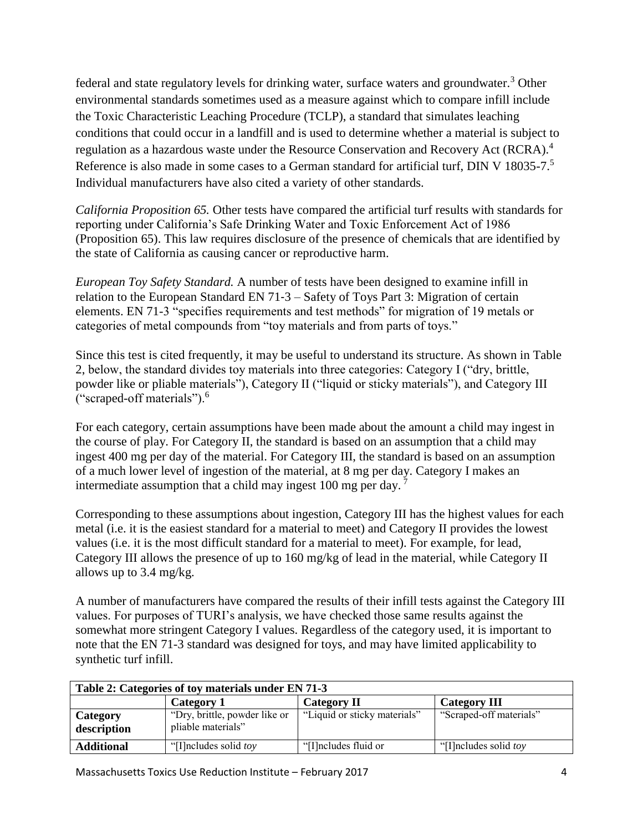federal and state regulatory levels for drinking water, surface waters and groundwater.<sup>3</sup> Other environmental standards sometimes used as a measure against which to compare infill include the Toxic Characteristic Leaching Procedure (TCLP), a standard that simulates leaching conditions that could occur in a landfill and is used to determine whether a material is subject to regulation as a hazardous waste under the Resource Conservation and Recovery Act (RCRA).<sup>4</sup> Reference is also made in some cases to a German standard for artificial turf, DIN V 18035-7.<sup>5</sup> Individual manufacturers have also cited a variety of other standards.

*California Proposition 65.* Other tests have compared the artificial turf results with standards for reporting under California's Safe Drinking Water and Toxic Enforcement Act of 1986 (Proposition 65). This law requires disclosure of the presence of chemicals that are identified by the state of California as causing cancer or reproductive harm.

*European Toy Safety Standard.* A number of tests have been designed to examine infill in relation to the European Standard EN 71‐3 – Safety of Toys Part 3: Migration of certain elements. EN 71-3 "specifies requirements and test methods" for migration of 19 metals or categories of metal compounds from "toy materials and from parts of toys."

Since this test is cited frequently, it may be useful to understand its structure. As shown in Table 2, below, the standard divides toy materials into three categories: Category I ("dry, brittle, powder like or pliable materials"), Category II ("liquid or sticky materials"), and Category III ("scraped-off materials").<sup>6</sup>

For each category, certain assumptions have been made about the amount a child may ingest in the course of play. For Category II, the standard is based on an assumption that a child may ingest 400 mg per day of the material. For Category III, the standard is based on an assumption of a much lower level of ingestion of the material, at 8 mg per day. Category I makes an intermediate assumption that a child may ingest 100 mg per day. <sup>7</sup>

Corresponding to these assumptions about ingestion, Category III has the highest values for each metal (i.e. it is the easiest standard for a material to meet) and Category II provides the lowest values (i.e. it is the most difficult standard for a material to meet). For example, for lead, Category III allows the presence of up to 160 mg/kg of lead in the material, while Category II allows up to 3.4 mg/kg.

A number of manufacturers have compared the results of their infill tests against the Category III values. For purposes of TURI's analysis, we have checked those same results against the somewhat more stringent Category I values. Regardless of the category used, it is important to note that the EN 71-3 standard was designed for toys, and may have limited applicability to synthetic turf infill.

| Table 2: Categories of toy materials under EN 71-3 |                                                     |                              |                                 |  |  |
|----------------------------------------------------|-----------------------------------------------------|------------------------------|---------------------------------|--|--|
|                                                    | Category 1                                          | <b>Category II</b>           | <b>Category III</b>             |  |  |
| Category<br>description                            | "Dry, brittle, powder like or<br>pliable materials" | "Liquid or sticky materials" | "Scraped-off materials"         |  |  |
| <b>Additional</b>                                  | "[I] neludes solid <i>toy</i>                       | "[I] ncludes fluid or        | "[I] ncludes solid <i>toy</i> " |  |  |

Massachusetts Toxics Use Reduction Institute – February 2017 4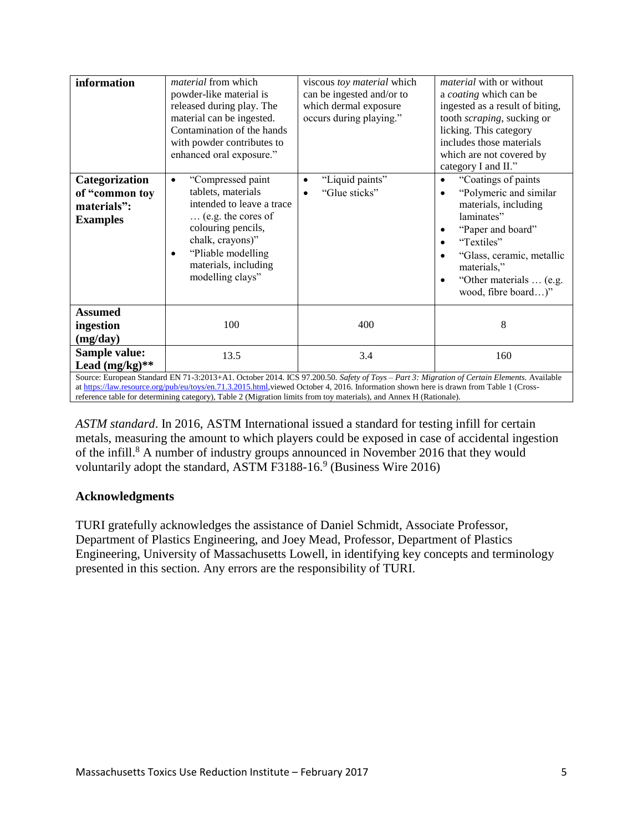| information                                                                                                                                                                                                                                                                                                                                                                                                | material from which<br>powder-like material is<br>released during play. The<br>material can be ingested.<br>Contamination of the hands<br>with powder contributes to<br>enhanced oral exposure."                 | viscous toy material which<br>can be ingested and/or to<br>which dermal exposure<br>occurs during playing." | <i>material</i> with or without<br>a coating which can be<br>ingested as a result of biting,<br>tooth scraping, sucking or<br>licking. This category<br>includes those materials<br>which are not covered by<br>category I and II."                        |  |
|------------------------------------------------------------------------------------------------------------------------------------------------------------------------------------------------------------------------------------------------------------------------------------------------------------------------------------------------------------------------------------------------------------|------------------------------------------------------------------------------------------------------------------------------------------------------------------------------------------------------------------|-------------------------------------------------------------------------------------------------------------|------------------------------------------------------------------------------------------------------------------------------------------------------------------------------------------------------------------------------------------------------------|--|
| Categorization<br>of "common toy<br>materials":<br><b>Examples</b>                                                                                                                                                                                                                                                                                                                                         | "Compressed paint<br>٠<br>tablets, materials<br>intended to leave a trace<br>(e.g. the cores of<br>colouring pencils,<br>chalk, crayons)"<br>"Pliable modelling<br>٠<br>materials, including<br>modelling clays" | "Liquid paints"<br>"Glue sticks"                                                                            | "Coatings of paints"<br>$\bullet$<br>"Polymeric and similar"<br>materials, including<br>laminates"<br>"Paper and board"<br>٠<br>"Textiles"<br>٠<br>"Glass, ceramic, metallic<br>materials,"<br>"Other materials  (e.g.<br>$\bullet$<br>wood, fibre board)" |  |
| <b>Assumed</b><br>ingestion<br>(mg/day)                                                                                                                                                                                                                                                                                                                                                                    | 100                                                                                                                                                                                                              | 400                                                                                                         | 8                                                                                                                                                                                                                                                          |  |
| Sample value:<br>Lead $(mg/kg)**$                                                                                                                                                                                                                                                                                                                                                                          | 13.5                                                                                                                                                                                                             | 3.4                                                                                                         | 160                                                                                                                                                                                                                                                        |  |
| Source: European Standard EN 71-3:2013+A1. October 2014. ICS 97.200.50. Safety of Toys - Part 3: Migration of Certain Elements. Available<br>at https://law.resource.org/pub/eu/toys/en.71.3.2015.html, viewed October 4, 2016. Information shown here is drawn from Table 1 (Cross-<br>reference table for determining category), Table 2 (Migration limits from toy materials), and Annex H (Rationale). |                                                                                                                                                                                                                  |                                                                                                             |                                                                                                                                                                                                                                                            |  |

*ASTM standard*. In 2016, ASTM International issued a standard for testing infill for certain metals, measuring the amount to which players could be exposed in case of accidental ingestion of the infill.<sup>8</sup> A number of industry groups announced in November 2016 that they would voluntarily adopt the standard, ASTM F3188-16.<sup>9</sup> (Business Wire 2016)

# **Acknowledgments**

TURI gratefully acknowledges the assistance of Daniel Schmidt, Associate Professor, Department of Plastics Engineering, and Joey Mead, Professor, Department of Plastics Engineering, University of Massachusetts Lowell, in identifying key concepts and terminology presented in this section. Any errors are the responsibility of TURI.